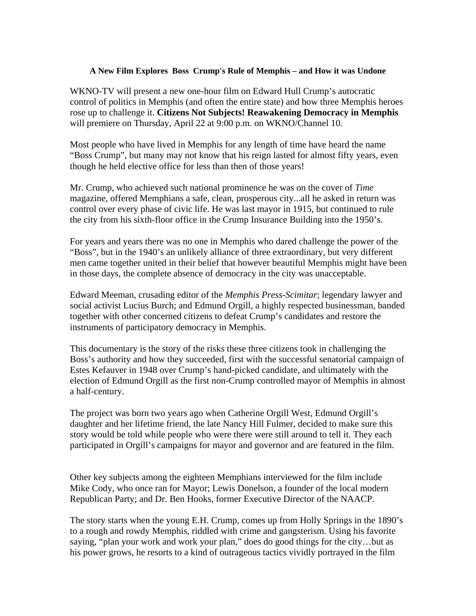## **A New Film Explores Boss Crump's Rule of Memphis – and How it was Undone**

WKNO-TV will present a new one-hour film on Edward Hull Crump's autocratic control of politics in Memphis (and often the entire state) and how three Memphis heroes rose up to challenge it. **Citizens Not Subjects! Reawakening Democracy in Memphis**  will premiere on Thursday, April 22 at 9:00 p.m. on WKNO/Channel 10.

Most people who have lived in Memphis for any length of time have heard the name "Boss Crump", but many may not know that his reign lasted for almost fifty years, even though he held elective office for less than then of those years!

Mr. Crump, who achieved such national prominence he was on the cover of *Time* magazine, offered Memphians a safe, clean, prosperous city...all he asked in return was control over every phase of civic life. He was last mayor in 1915, but continued to rule the city from his sixth-floor office in the Crump Insurance Building into the 1950's.

For years and years there was no one in Memphis who dared challenge the power of the "Boss", but in the 1940's an unlikely alliance of three extraordinary, but very different men came together united in their belief that however beautiful Memphis might have been in those days, the complete absence of democracy in the city was unacceptable.

Edward Meeman, crusading editor of the *Memphis Press-Scimitar*; legendary lawyer and social activist Lucius Burch; and Edmund Orgill, a highly respected businessman, banded together with other concerned citizens to defeat Crump's candidates and restore the instruments of participatory democracy in Memphis.

This documentary is the story of the risks these three citizens took in challenging the Boss's authority and how they succeeded, first with the successful senatorial campaign of Estes Kefauver in 1948 over Crump's hand-picked candidate, and ultimately with the election of Edmund Orgill as the first non-Crump controlled mayor of Memphis in almost a half-century.

The project was born two years ago when Catherine Orgill West, Edmund Orgill's daughter and her lifetime friend, the late Nancy Hill Fulmer, decided to make sure this story would be told while people who were there were still around to tell it. They each participated in Orgill's campaigns for mayor and governor and are featured in the film.

Other key subjects among the eighteen Memphians interviewed for the film include Mike Cody, who once ran for Mayor; Lewis Donelson, a founder of the local modern Republican Party; and Dr. Ben Hooks, former Executive Director of the NAACP.

The story starts when the young E.H. Crump, comes up from Holly Springs in the 1890's to a rough and rowdy Memphis, riddled with crime and gangsterism. Using his favorite saying, "plan your work and work your plan," does do good things for the city…but as his power grows, he resorts to a kind of outrageous tactics vividly portrayed in the film